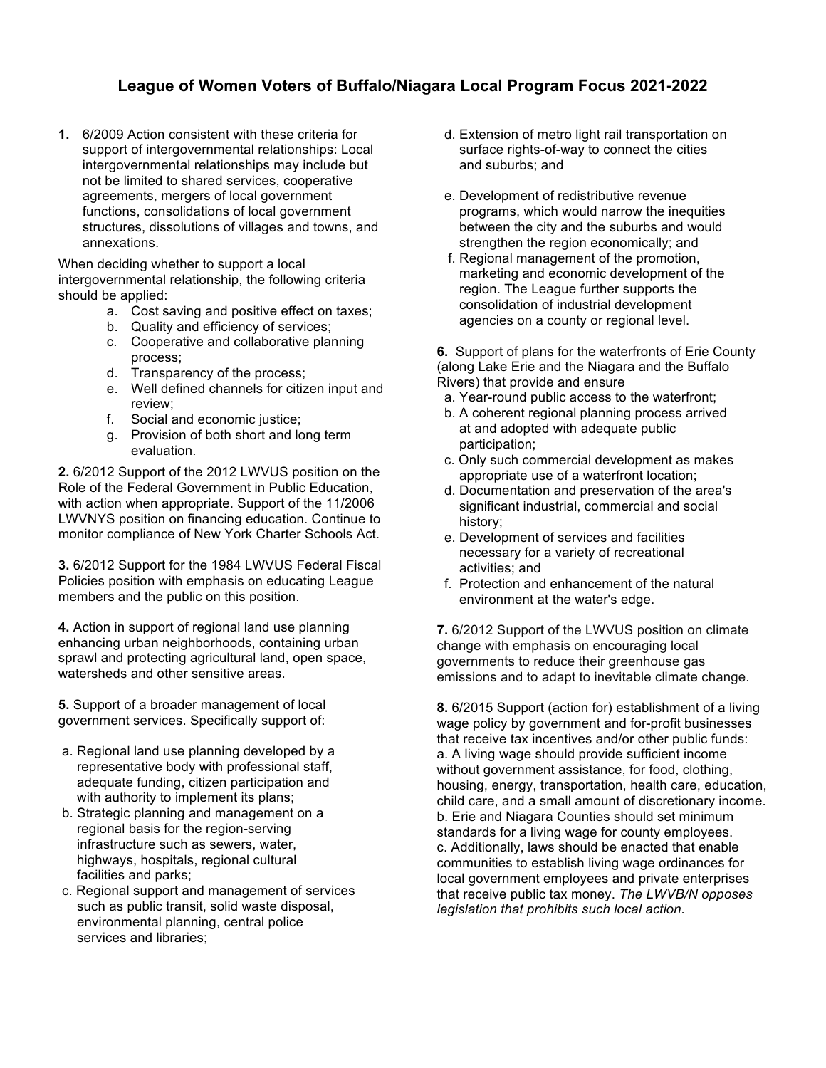## **League of Women Voters of Buffalo/Niagara Local Program Focus 2021-2022**

**1.** 6/2009 Action consistent with these criteria for support of intergovernmental relationships: Local intergovernmental relationships may include but not be limited to shared services, cooperative agreements, mergers of local government functions, consolidations of local government structures, dissolutions of villages and towns, and annexations.

When deciding whether to support a local intergovernmental relationship, the following criteria should be applied:

- a. Cost saving and positive effect on taxes;
- b. Quality and efficiency of services;
- c. Cooperative and collaborative planning process;
- d. Transparency of the process;
- e. Well defined channels for citizen input and review;
- f. Social and economic justice;
- g. Provision of both short and long term evaluation.

**2.** 6/2012 Support of the 2012 LWVUS position on the Role of the Federal Government in Public Education, with action when appropriate. Support of the 11/2006 LWVNYS position on financing education. Continue to monitor compliance of New York Charter Schools Act.

**3.** 6/2012 Support for the 1984 LWVUS Federal Fiscal Policies position with emphasis on educating League members and the public on this position.

**4.** Action in support of regional land use planning enhancing urban neighborhoods, containing urban sprawl and protecting agricultural land, open space, watersheds and other sensitive areas.

**5.** Support of a broader management of local government services. Specifically support of:

- a. Regional land use planning developed by a representative body with professional staff, adequate funding, citizen participation and with authority to implement its plans;
- b. Strategic planning and management on a regional basis for the region-serving infrastructure such as sewers, water, highways, hospitals, regional cultural facilities and parks;
- c. Regional support and management of services such as public transit, solid waste disposal, environmental planning, central police services and libraries;
- d. Extension of metro light rail transportation on surface rights-of-way to connect the cities and suburbs; and
- e. Development of redistributive revenue programs, which would narrow the inequities between the city and the suburbs and would strengthen the region economically; and
- f. Regional management of the promotion, marketing and economic development of the region. The League further supports the consolidation of industrial development agencies on a county or regional level.

**6.** Support of plans for the waterfronts of Erie County (along Lake Erie and the Niagara and the Buffalo Rivers) that provide and ensure

- a. Year-round public access to the waterfront;
- b. A coherent regional planning process arrived at and adopted with adequate public participation;
- c. Only such commercial development as makes appropriate use of a waterfront location;
- d. Documentation and preservation of the area's significant industrial, commercial and social history;
- e. Development of services and facilities necessary for a variety of recreational activities; and
- f. Protection and enhancement of the natural environment at the water's edge.

**7.** 6/2012 Support of the LWVUS position on climate change with emphasis on encouraging local governments to reduce their greenhouse gas emissions and to adapt to inevitable climate change.

**8.** 6/2015 Support (action for) establishment of a living wage policy by government and for-profit businesses that receive tax incentives and/or other public funds: a. A living wage should provide sufficient income without government assistance, for food, clothing, housing, energy, transportation, health care, education, child care, and a small amount of discretionary income. b. Erie and Niagara Counties should set minimum standards for a living wage for county employees. c. Additionally, laws should be enacted that enable communities to establish living wage ordinances for local government employees and private enterprises that receive public tax money. *The LWVB/N opposes legislation that prohibits such local action.*